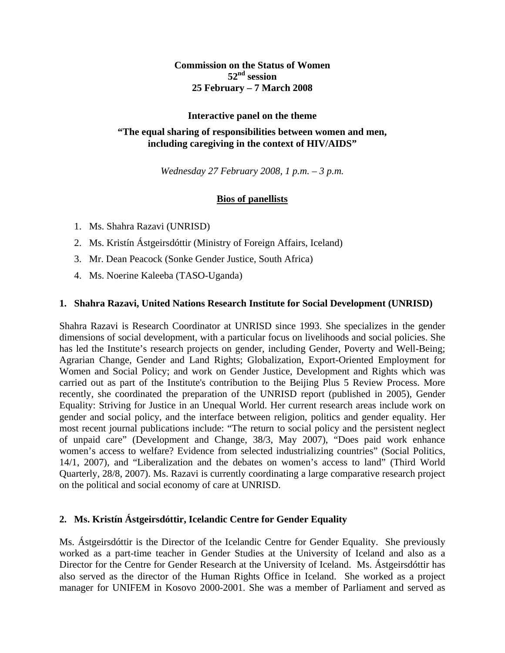**Commission on the Status of Women 52nd session 25 February – 7 March 2008** 

#### **Interactive panel on the theme**

## **"The equal sharing of responsibilities between women and men, including caregiving in the context of HIV/AIDS"**

*Wednesday 27 February 2008, 1 p.m. – 3 p.m.* 

# **Bios of panellists**

- 1. Ms. Shahra Razavi (UNRISD)
- 2. Ms. Kristín Ástgeirsdóttir (Ministry of Foreign Affairs, Iceland)
- 3. Mr. Dean Peacock (Sonke Gender Justice, South Africa)
- 4. Ms. Noerine Kaleeba (TASO-Uganda)

#### **1. Shahra Razavi, United Nations Research Institute for Social Development (UNRISD)**

Shahra Razavi is Research Coordinator at UNRISD since 1993. She specializes in the gender dimensions of social development, with a particular focus on livelihoods and social policies. She has led the Institute's research projects on gender, including Gender, Poverty and Well-Being; Agrarian Change, Gender and Land Rights; Globalization, Export-Oriented Employment for Women and Social Policy; and work on Gender Justice, Development and Rights which was carried out as part of the Institute's contribution to the Beijing Plus 5 Review Process. More recently, she coordinated the preparation of the UNRISD report (published in 2005), Gender Equality: Striving for Justice in an Unequal World. Her current research areas include work on gender and social policy, and the interface between religion, politics and gender equality. Her most recent journal publications include: "The return to social policy and the persistent neglect of unpaid care" (Development and Change, 38/3, May 2007), "Does paid work enhance women's access to welfare? Evidence from selected industrializing countries" (Social Politics, 14/1, 2007), and "Liberalization and the debates on women's access to land" (Third World Quarterly, 28/8, 2007). Ms. Razavi is currently coordinating a large comparative research project on the political and social economy of care at UNRISD.

### **2. Ms. Kristín Ástgeirsdóttir, Icelandic Centre for Gender Equality**

Ms. Ástgeirsdóttir is the Director of the Icelandic Centre for Gender Equality. She previously worked as a part-time teacher in Gender Studies at the University of Iceland and also as a Director for the Centre for Gender Research at the University of Iceland. Ms. Ástgeirsdóttir has also served as the director of the Human Rights Office in Iceland. She worked as a project manager for UNIFEM in Kosovo 2000-2001. She was a member of Parliament and served as